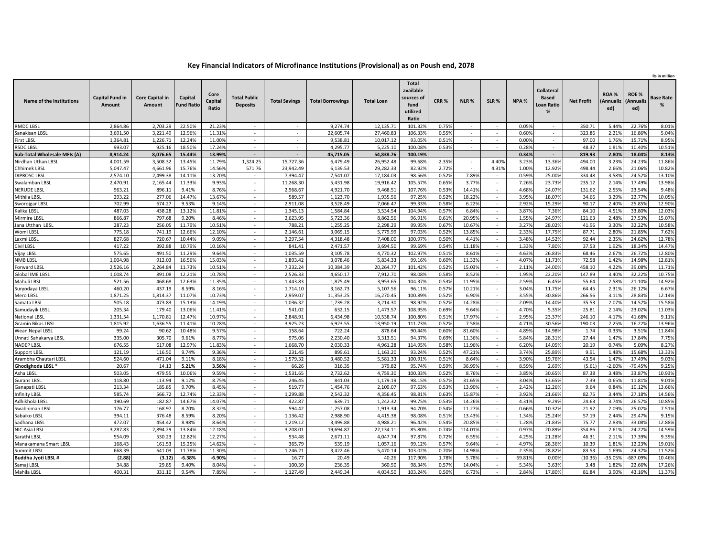## **Key Financial Indicators of Microfinance Institutions (Provisional) as on Poush end, 2078**

|                              | Rs in million                    |                                  |                              |                          |                                        |                      |                         |                      |                                                                      |                  |                  |                                    |                |                                                             |                   |                         |                          |                       |
|------------------------------|----------------------------------|----------------------------------|------------------------------|--------------------------|----------------------------------------|----------------------|-------------------------|----------------------|----------------------------------------------------------------------|------------------|------------------|------------------------------------|----------------|-------------------------------------------------------------|-------------------|-------------------------|--------------------------|-----------------------|
| Name of the Institutions     | <b>Capital Fund in</b><br>Amount | <b>Core Capital in</b><br>Amount | Capital<br><b>Fund Ratio</b> | Core<br>Capital<br>Ratio | <b>Total Public</b><br><b>Deposits</b> | <b>Total Savings</b> | <b>Total Borrowings</b> | <b>Total Loan</b>    | <b>Total</b><br>available<br>sources of<br>fund<br>utilized<br>Ratio | CRR <sub>%</sub> | NLR <sub>%</sub> | SLR%                               | NPA %          | <b>Collateral</b><br><b>Based</b><br><b>Loan Ratio</b><br>% | <b>Net Profit</b> | ROA%<br>Annualiz<br>ed) | ROE%<br>(Annualiz<br>ed) | <b>Base Rate</b><br>% |
| RMDC LBSL                    | 2.864.86                         | 2.703.29                         | 22.50%                       | 21.23%                   | $\sim$                                 | $\sim$               | 9.274.74                | 12.135.71            | 101.329                                                              | 0.75%            | $\sim$           | $\sim$                             | 0.05%          |                                                             | 350.71            | 5.44%                   | 22.76%                   | 8.01%                 |
| Sanakisan LBSL               | 3,691.50                         | 3,221.49                         | 12.96%                       | 11.31%                   | $\sim$                                 | ÷                    | 22.605.74               | 27,460.83            | 106.339                                                              | 0.55%            | $\sim$           | $\sim$                             | 0.60%          | ÷                                                           | 323.86            | 2.21%                   | 16.86%                   | 5.04%                 |
| First LBSL                   | 1,364.81                         | 1,226.71                         | 12.24%                       | 11.00%                   | $\sim$                                 | $\sim$               | 9,538.81                | 10,017.12            | 93.059                                                               | 0.519            | $\sim$           | $\sim$                             | 0.00%          | $\sim$                                                      | 97.00             | 1.76%                   | 15.719                   | 8.95%                 |
| RSDC LBSI                    | 993.07                           | 925.16                           | 18.50%                       | 17.24%                   |                                        | ٠                    | 4,295.77                | 5,225.10             | 100.089                                                              | 0.53%            | $\sim$           |                                    | 0.28%          |                                                             | 48.37             | 1.819                   | 10.40%                   | 10.51%                |
| Sub-Total Wholesale MFIs (A) | 8,914.24                         | 8,076.65                         | 15.44%                       | 13.99%                   |                                        |                      | 45,715.05               | 54,838.76            | 100.19%                                                              |                  |                  |                                    | 0.34%          |                                                             | 819.93            | 2.80%                   | 18.04%                   | 8.13%                 |
| Nirdhan Uthan LBSL           | 4.001.59                         | 3.508.32                         | 13.45%                       | 11.79%                   | 1.324.25                               | 15.727.36            | 6.479.49                | 26.952.48            | 99.689                                                               | 2.35%            | $\sim$           | 4.40%                              | 3.23%          | 13.36%                                                      | 494.00            | 3.23%                   | 24.23%                   | 11.86%                |
| Chhimek LBSL                 | 5.047.47                         | 4,661.96                         | 15.76%                       | 14.56%                   | 571.76                                 | 23.942.49            | 6.139.53                | 29.282.33            | 82.929                                                               | 2.72%            |                  | 4.31%                              | 1.00%          | 12.92%                                                      | 498.44            | 2.669                   | 21.069                   | 10.82%                |
| <b>DIPROSC LBSL</b>          | 2,574.10                         | 2,499.38                         | 14.11%                       | 13.70%                   |                                        | 7,394.47             | 7,541.07                | 17,184.03            | 98.569                                                               | 0.52%            | 7.899            | $\sim$                             | 0.59%          | 25.009                                                      | 334.48            | 3.589                   | 24.529                   | 13.10%                |
| Swalamban LBSI               | 2,470.91                         | 2,165.44                         | 11.33%                       | 9.93%                    | $\sim$                                 | 11,268.30            | 5,431.98                | 19,916.42            | 105.579                                                              | 0.65%            | 3.779            | $\sim$                             | 7.26%          | 23.73%                                                      | 235.12            | 2.14%                   | 17.49%                   | 13.98%                |
| NERUDE LBSI                  | 963.21                           | 896.11                           | 9.41%                        | 8.76%                    |                                        | 2,968.67             | 4,921.70                | 9,468.51             | 107.769                                                              | 0.53%            | 14.419           | $\sim$                             | 4.68%          | 24.07%                                                      | 131.62            | 2.559                   | 23.54%                   | 9.48%                 |
| Mithila LBSI                 | 293.22                           | 277.06                           | 14.47%                       | 13.67%                   | $\sim$                                 | 589.57               | 1,123.70                | 1,935.56             | 97.259                                                               | 0.529            | 18.22%           | $\sim$                             | 3.95%          | 18.079                                                      | 34.66             | 3.299                   | 22.779                   | 10.05%                |
| Sworojgar LBSI               | 702.99                           | 674.27                           | 9.53%                        | 9.14%                    | $\sim$                                 | 2.911.08             | 3.528.49                | 7.066.47             | 99.339                                                               | 0.58%            | 6.22%            | $\sim$                             | 2.92%          | 15.29%                                                      | 90.17             | 2.40%                   | 25.859                   | 12.90%                |
| Kalika LBSI                  | 487.03                           | 438.28                           | 13.12%                       | 11.81%                   |                                        | 1.345.13             | 1.584.84                | 3.534.54             | 104.949                                                              | 0.579            | 6.849            | $\sim$                             | 3.879          | 7.369                                                       | 84.10             | 4.519                   | 33.80%                   | 12.03%                |
| Mirmire LBS                  | 866.87                           | 797.68                           | 9.20%                        | 8.46%                    | $\sim$                                 | 2,623.95             | 5,723.36                | 8,862.56             | 96.91                                                                | 0.619            | 20.95%           | $\sim$                             | 1.55%          | 24.97%                                                      | 121.63            | 2.48%                   | 27.539                   | 15.07%                |
| Jana Utthan LBSL             | 287.23                           | 256.05                           | 11.79%                       | 10.51%                   | $\sim$                                 | 788.21               | 1,255.25                | 2,298.29             | 99.95%                                                               | 0.67%            | 10.67%           | $\sim$                             | 3.27%          | 28.02%                                                      | 41.96             | 3.309                   | 32.229                   | 10.58%                |
| Womi LBSI                    | 775.18                           | 741.19                           | 12.66%                       | 12.10%                   | $\sim$                                 | 2,146.61             | 3,069.15                | 5,779.99             | 97.039                                                               | 0.529            | 13.859           | $\sim$                             | 2.339          | 17.759                                                      | 87.71             | 2.809                   | 21.859                   | 7.62%                 |
| Laxmi LBSI                   | 827.68                           | 720.67                           | 10.44%                       | 9.09%                    |                                        | 2,297.54             | 4,318.48                | 7,408.00             | 100.979                                                              | 0.509            | 4.419            |                                    | 3.489          | 14.529                                                      | 92.44             | 2.359                   | 24.629                   | 12.789                |
| Civil LBSL                   | 417.22                           | 392.88                           | 10.79%                       | 10.16%                   |                                        | 841.41               | 2,471.57                | 3,694.50             | 99.699                                                               | 0.54%            | 11.189           | $\overline{\phantom{a}}$           | 1.33%          | 7.80%                                                       | 37.53             | 1.92%                   | 18.349                   | 14.47%                |
| Vijay LBSL                   | 575.65                           | 491.50                           | 11.29%                       | 9.64%                    | $\sim$                                 | 1.035.59             | 3,105.78                | 4,770.32             | 102.979                                                              | 0.519            | 8.61%            | $\sim$                             | 4.63%          | 26.839                                                      | 68.46             | 2.679                   | 26.729                   | 12.80%                |
| NMB LBSL                     | 1.004.98                         | 912.03                           | 16.56%                       | 15.03%                   | $\sim$                                 | 1,893.42             | 3,078.46                | 5,834.33             | 99.169                                                               | 0.60%            | 11.33%           | $\sim$                             | 4.07%          | 11.73%                                                      | 72.58             | 1.42%                   | 14.98%                   | 12.81%                |
| Forward LBS                  | 2.526.16                         | 2.264.84                         | 11.73%                       | 10.51%                   |                                        | 7.332.24             | 10.384.39               | 20,264.77            | 101.42%                                                              | 0.52%            | 15.03%           | $\sim$                             | 2.119          | 24.00%                                                      | 458.10            | 4.22%                   | 39.08%                   | 11.71%                |
| Global IME LBSL              | 1.008.74                         | 891.08                           | 12.21%                       | 10.78%                   | $\sim$                                 | 2.526.33             | 4.650.17                | 7,912.70             | 98.089                                                               | 0.58%            | 8.52%            | $\sim$                             | 1.95%          | 22.20%                                                      | 147.89            | 3.40%                   | 32.229                   | 10.75%                |
| Mahuli LBSI                  | 521.56                           | 468.68                           | 12.63%                       | 11.35%                   |                                        | 1,443.83             | 1,875.49                | 3,953.65             | 104.379                                                              | 0.539            | 11.95%           | $\sim$                             | 2.59%          | 6.45%                                                       | 55.64             | 2.58%                   | 21.10%                   | 14.92%                |
| Suryodaya LBSL               | 460.20                           | 437.19                           | 8.59%                        | 8.16%                    | $\sim$                                 | 1,714.10             | 3,162.73                | 5,107.56             | 96.119                                                               | 0.579            | 10.21%           | $\sim$                             | 3.04%          | 11.759                                                      | 64.45             | 2.319                   | 26.129                   | 6.67%                 |
| Mero LBSL                    | 1.871.25                         | 1.814.37                         | 11.07%                       | 10.73%                   | $\sim$                                 | 2.959.07             | 11.353.25               | 16,270.45            | 100.899                                                              | 0.52%            | 6.90%            | $\sim$                             | 3.55%          | 30.869                                                      | 266.56            | 3.11%                   | 28.839                   | 12.14%                |
| Samata LBS                   | 505.18                           | 473.83                           | 15.13%                       | 14.19%                   |                                        | 1.036.32             | 1,739.28                | 3.214.30             | 98.929                                                               | 0.529            | 14.289           |                                    | 2.099          | 14.40%                                                      | 35.53             | 2.079                   | 14.579                   | 15.589                |
| Samudayik LBSI               | 205.34                           | 179.40                           | 13.06%                       | 11.41%                   | $\sim$                                 | 541.02               | 632.15                  | 1,473.57             | 108.95%                                                              | 0.699            | 9.64%            | $\sim$                             | 4.70%          | 5.35%                                                       | 25.81             | 2.149                   | 23.029                   | 11.03%                |
| <b>National LBSL</b>         | 1,331.54                         | 1,170.81                         | 12.47%                       | 10.97%                   | $\sim$                                 | 2.848.91             | 6,434.98                | 10,538.74            | 100.809                                                              | 0.51%            | 17.97%           | $\sim$                             | 2.95%          | 23.37%                                                      | 246.10            | 4.17%                   | 41.689                   | 9.11%                 |
| Gramin Bikas LBSI            | 1,815.92                         | 1,636.55                         | 11.41%                       | 10.28%                   | $\sim$                                 | 3,925.23             | 6,923.55                | 13,950.19            | 111.739                                                              | 0.529            | 7.58%            | ×.                                 | 4.719          | 30.569                                                      | 190.03            | 2.259                   | 16.229                   | 13.96%                |
| Wean Nepal LBSI              | 99.24                            | 90.62                            | 10.48%                       | 9.57%                    | $\sim$                                 | 158.64               | 722.24                  | 878.64               | 90.449                                                               | 0.609            | 81.609           | $\sim$                             | 4.899          | 14.98%                                                      | 1.74              | 0.339                   | 3.519                    | 11.849                |
| Unnati Sahakarya LBSL        | 335.00                           | 305.70                           | 9.61%                        | 8.77%                    | $\sim$                                 | 975.06               | 2,230.40                | 3,313.51             | 94.37%                                                               | 0.69%            | 11.36%           | $\sim$                             | 5.84%          | 28.31%                                                      | 27.44             | 1.47%                   | 17.84%                   | 7.75%                 |
| <b>NADEP LBSI</b>            | 676.55                           | 617.08                           | 12.97%                       | 11.83%                   | $\sim$                                 | 1.668.70             | 2,030.33                | 4,961.28             | 114.95%                                                              | 0.589            | 11.96%           | $\sim$                             | 6.20%          | 14.05%                                                      | 20.19             | 0.749                   | 5.099                    | 8.27%                 |
| Support LBSL                 | 121.19                           | 116.50                           | 9.74%                        | 9.36%                    | $\sim$                                 | 231.45               | 899.61                  | 1,163.20             | 93.249                                                               | 0.529            | 47.219           | $\sim$                             | 3.749          | 25.899                                                      | 9.91              | 1.489                   | 15.689                   | 13.339                |
| Arambha Chautari LBSL        | 524.60                           | 471.04                           | 9.11%                        | 8.189<br>3.56%           | $\sim$                                 | 1,579.32             | 3,480.52                | 5,581.33             | 100.91%                                                              | 0.519            | 8.649            | $\overline{\phantom{a}}$<br>$\sim$ | 3.90%<br>8.59% | 19.769                                                      | 43.54             | 1.479<br>$-2.609$       | 17.499                   | 9.03%<br>9.25%        |
| Ghodighoda LBSL *            | 20.67                            | 14.13                            | 5.21%                        |                          |                                        | 66.26                | 316.35                  | 379.82               | 95.749                                                               | 0.599            | 36.99%           |                                    |                | 2.69%                                                       | (5.61)            |                         | $-79.45%$                |                       |
| Asha LBSL                    | 503.05                           | 479.55                           | 10.06%                       | 9.59%                    | $\sim$<br>$\sim$                       | 1,531.65             | 2,732.62                | 4,759.30             | 100.339                                                              | 0.52%            | 8.76%<br>31.65%  | $\sim$<br>$\epsilon$               | 3.85%          | 30.65%                                                      | 87.38             | 3.48%                   | 33.879                   | 10.93%                |
| Gurans LBSI<br>Ganapati LBSI | 118.80<br>213.34                 | 113.94<br>185.85                 | 9.12%<br>9.70%               | 8.75%<br>8.45%           | $\sim$                                 | 246.45<br>519.77     | 841.03<br>1,454.76      | 1,179.19<br>2,109.07 | 98.159<br>97.639                                                     | 0.57%<br>0.539   | 13.90%           | $\sim$                             | 3.04%<br>2.42% | 13.659<br>12.26%                                            | 7.39<br>9.64      | 0.659<br>0.84%          | 11.819<br>10.129         | 9.01%<br>13.66%       |
| Infinity LBSI                | 585.74                           | 566.72                           | 12.74%                       | 12.33%                   |                                        | 1.299.88             | 2.542.32                | 4.356.45             | 98.81                                                                | 0.639            | 15.87%           | ×.                                 | 3.92%          | 21.669                                                      | 82.75             | 3.449                   | 27.189                   | 14.56%                |
| Adhikhola LBSI               | 190.69                           | 182.87                           | 14.67%                       | 14.07%                   | $\sim$                                 | 422.87               | 639.71                  | 1,242.32             | 99.75%                                                               | 0.539            | 14.26%           | $\sim$                             | 4.31%          | 9.29%                                                       | 24.63             | 3.749                   | 26.579                   | 10.85%                |
| Swabhiman LBSL               | 176.77                           | 168.97                           | 8.70%                        | 8.32%                    | $\sim$                                 | 594.42               | 1,257.08                | 1,913.34             | 94.70%                                                               | 0.54%            | 11.27%           | $\sim$                             | 0.66%          | 10.32%                                                      | 21.92             | 2.09%                   | 25.02%                   | 7.51%                 |
| Sabaiko LBSI                 | 394.11                           | 376.48                           | 8.59%                        | 8.20%                    |                                        | 1,136.42             | 2,988.90                | 4,415.38             | 98.089                                                               | 0.519            | 13.439           |                                    | 1.34%          | 25.249                                                      | 57.19             | 2.44%                   | 29.47%                   | 9.15%                 |
| Sadhana LBSI                 | 472.07                           | 454.42                           | 8.98%                        | 8.64%                    | $\sim$                                 | 1,219.12             | 3,499.88                | 4,988.21             | 96.42%                                                               | 0.54%            | 20.859           | $\sim$                             | 1.28%          | 21.83%                                                      | 75.77             | 2.839                   | 33.08%                   | 12.88%                |
| NIC Asia LBSI                | 3,287.83                         | 2.894.29                         | 13.84%                       | 12.18%                   | $\sim$                                 | 3.208.01             | 19,694.87               | 22.134.11            | 85.80%                                                               | 0.74%            | 114.01%          | $\sim$                             | 0.97%          | 20.89%                                                      | 354.86            | 2.61%                   | 24.22%                   | 14.59%                |
| Sarathi LBSI                 | 554.09                           | 530.23                           | 12.82%                       | 12.27%                   | $\sim$                                 | 934.48               | 2,671.11                | 4,047.74             | 97.879                                                               | 0.729            | 6.55%            | $\sim$                             | 4.25%          | 21.289                                                      | 46.31             | 2.11%                   | 17.39%                   | 9.39%                 |
| Manakamana Smart LBSI        | 168.43                           | 161.53                           | 15.25%                       | 14.62%                   |                                        | 365.79               | 539.19                  | 1.057.16             | 99.129                                                               | 0.579            | 9.649            | $\overline{\phantom{a}}$           | 4.979          | 28.369                                                      | 10.39             | 1.819                   | 12.239                   | 19.019                |
| Summit LBSI                  | 668.39                           | 641.03                           | 11.78%                       | 11.30%                   |                                        | 1.246.21             | 3,422.46                | 5,470.14             | 103.029                                                              | 0.70%            | 14.98%           | $\sim$                             | 2.35%          | 28.82%                                                      | 83.53             | 1.69%                   | 24.379                   | 11.52%                |
| Buddha Jyoti LBSL#           | (2.88)                           | (3.12)                           | $-6.38%$                     | $-6.90%$                 | $\sim$                                 | 16.77                | 20.49                   | 40.26                | 117.909                                                              | 1.78%            | 5.789            | $\sim$                             | 69.819         | 0.009                                                       | (10.36)           | $-35.059$               | $-687.099$               | 10.46%                |
| Samaj LBSL                   | 34.88                            | 29.85                            | 9.40%                        | 8.04%                    | $\sim$                                 | 100.39               | 236.35                  | 360.50               | 98.349                                                               | 0.579            | 14.04%           | $\sim$                             | 5.34%          | 3.639                                                       | 3.48              | 1.829                   | 22.669                   | 17.26%                |
| Mahila LBSL                  | 400.31                           | 331.10                           | 9.54%                        | 7.89%                    |                                        | 1,127.49             | 2,449.34                | 4,034.50             | 103.24%                                                              | 0.50%            | 6.73%            |                                    | 2.84%          | 17.80%                                                      | 81.84             | 3.90%                   | 43.16%                   | 11.37%                |